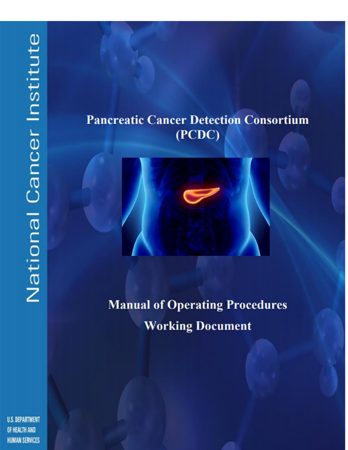# **Pancreatic Cancer Detection Consortium** (PCDC)



**Manual of Operating Procedures Working Document** 

**U.S. DEPARTMENT** OF HEALTH AND **HUMAN SERVICES**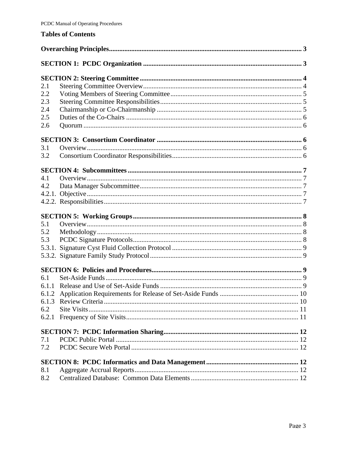#### **Tables of Contents**

| 2.1   |  |  |
|-------|--|--|
| 2.2   |  |  |
| 2.3   |  |  |
| 2.4   |  |  |
| 2.5   |  |  |
| 2.6   |  |  |
|       |  |  |
| 3.1   |  |  |
| 3.2   |  |  |
|       |  |  |
| 4.1   |  |  |
| 4.2   |  |  |
|       |  |  |
|       |  |  |
|       |  |  |
| 5.1   |  |  |
| 5.2   |  |  |
| 5.3   |  |  |
|       |  |  |
|       |  |  |
|       |  |  |
| 6.1   |  |  |
|       |  |  |
|       |  |  |
| 6.1.3 |  |  |
| 6.2   |  |  |
| 6.2.1 |  |  |
|       |  |  |
| 7.1   |  |  |
| 7.2   |  |  |
|       |  |  |
| 8.1   |  |  |
| 8.2   |  |  |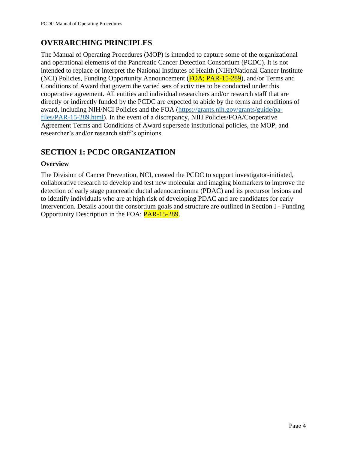# <span id="page-2-0"></span>**OVERARCHING PRINCIPLES**

The Manual of Operating Procedures (MOP) is intended to capture some of the organizational and operational elements of the Pancreatic Cancer Detection Consortium (PCDC). It is not intended to replace or interpret the National Institutes of Health (NIH)/National Cancer Institute (NCI) Policies, Funding Opportunity Announcement (FOA; PAR-15-289), and/or Terms and Conditions of Award that govern the varied sets of activities to be conducted under this cooperative agreement. All entities and individual researchers and/or research staff that are directly or indirectly funded by the PCDC are expected to abide by the terms and conditions of award, including NIH/NCI Policies and the FOA [\(https://grants.nih.gov/grants/guide/pa](https://grants.nih.gov/grants/guide/pa-files/PAR-15-289.html)[files/PAR-15-289.html\)](https://grants.nih.gov/grants/guide/pa-files/PAR-15-289.html). In the event of a discrepancy, NIH Policies/FOA/Cooperative Agreement Terms and Conditions of Award supersede institutional policies, the MOP, and researcher's and/or research staff's opinions.

## <span id="page-2-1"></span>**SECTION 1: PCDC ORGANIZATION**

#### **Overview**

The Division of Cancer Prevention, NCI, created the PCDC to support investigator-initiated, collaborative research to develop and test new molecular and imaging biomarkers to improve the detection of early stage pancreatic ductal adenocarcinoma (PDAC) and its precursor lesions and to identify individuals who are at high risk of developing PDAC and are candidates for early intervention. Details about the consortium goals and structure are outlined in Section I - Funding Opportunity Description in the FOA: PAR-15-289.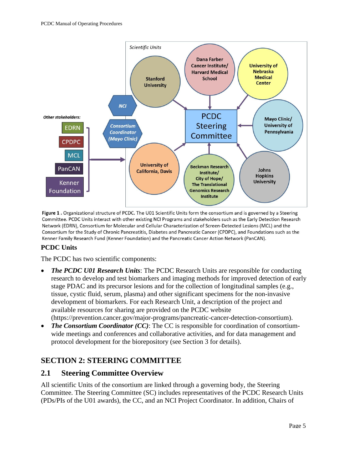

Figure 1. Organizational structure of PCDC. The U01 Scientific Units form the consortium and is governed by a Steering Committee. PCDC Units interact with other existing NCI Programs and stakeholders such as the Early Detection Research Network (EDRN), Consortium for Molecular and Cellular Characterization of Screen-Detected Lesions (MCL) and the Consortium for the Study of Chronic Pancreatitis, Diabetes and Pancreatic Cancer (CPDPC), and Foundations such as the Kenner Family Research Fund (Kenner Foundation) and the Pancreatic Cancer Action Network (PanCAN).

#### **PCDC Units**

The PCDC has two scientific components:

- *The PCDC U01 Research Units*: The PCDC Research Units are responsible for conducting research to develop and test biomarkers and imaging methods for improved detection of early stage PDAC and its precursor lesions and for the collection of longitudinal samples (e.g., tissue, cystic fluid, serum, plasma) and other significant specimens for the non-invasive development of biomarkers. For each Research Unit, a description of the project and available resources for sharing are provided on the PCDC website (https://prevention.cancer.gov/major-programs/pancreatic-cancer-detection-consortium).
- *The Consortium Coordinator (CC)*: The CC is responsible for coordination of consortiumwide meetings and conferences and collaborative activities, and for data management and protocol development for the biorepository (see Section 3 for details).

#### <span id="page-3-0"></span>**SECTION 2: STEERING COMMITTEE**

#### <span id="page-3-1"></span>**2.1 Steering Committee Overview**

All scientific Units of the consortium are linked through a governing body, the Steering Committee. The Steering Committee (SC) includes representatives of the PCDC Research Units (PDs/PIs of the U01 awards), the CC, and an NCI Project Coordinator. In addition, Chairs of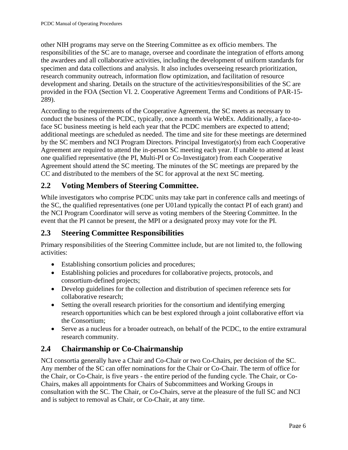other NIH programs may serve on the Steering Committee as ex officio members. The responsibilities of the SC are to manage, oversee and coordinate the integration of efforts among the awardees and all collaborative activities, including the development of uniform standards for specimen and data collections and analysis. It also includes overseeing research prioritization, research community outreach, information flow optimization, and facilitation of resource development and sharing. Details on the structure of the activities/responsibilities of the SC are provided in the FOA (Section VI. 2. Cooperative Agreement Terms and Conditions of PAR-15- 289).

According to the requirements of the Cooperative Agreement, the SC meets as necessary to conduct the business of the PCDC, typically, once a month via WebEx. Additionally, a face-toface SC business meeting is held each year that the PCDC members are expected to attend; additional meetings are scheduled as needed. The time and site for these meetings are determined by the SC members and NCI Program Directors. Principal Investigator(s) from each Cooperative Agreement are required to attend the in-person SC meeting each year. If unable to attend at least one qualified representative (the PI, Multi-PI or Co-Investigator) from each Cooperative Agreement should attend the SC meeting. The minutes of the SC meetings are prepared by the CC and distributed to the members of the SC for approval at the next SC meeting.

## <span id="page-4-0"></span>**2.2 Voting Members of Steering Committee.**

While investigators who comprise PCDC units may take part in conference calls and meetings of the SC, the qualified representatives (one per U01and typically the contact PI of each grant) and the NCI Program Coordinator will serve as voting members of the Steering Committee. In the event that the PI cannot be present, the MPI or a designated proxy may vote for the PI.

#### <span id="page-4-1"></span>**2.3 Steering Committee Responsibilities**

Primary responsibilities of the Steering Committee include, but are not limited to, the following activities:

- Establishing consortium policies and procedures;
- Establishing policies and procedures for collaborative projects, protocols, and consortium-defined projects;
- Develop guidelines for the collection and distribution of specimen reference sets for collaborative research;
- Setting the overall research priorities for the consortium and identifying emerging research opportunities which can be best explored through a joint collaborative effort via the Consortium;
- Serve as a nucleus for a broader outreach, on behalf of the PCDC, to the entire extramural research community.

#### <span id="page-4-2"></span>**2.4 Chairmanship or Co-Chairmanship**

NCI consortia generally have a Chair and Co-Chair or two Co-Chairs, per decision of the SC. Any member of the SC can offer nominations for the Chair or Co-Chair. The term of office for the Chair, or Co-Chair, is five years - the entire period of the funding cycle. The Chair, or Co-Chairs, makes all appointments for Chairs of Subcommittees and Working Groups in consultation with the SC. The Chair, or Co-Chairs, serve at the pleasure of the full SC and NCI and is subject to removal as Chair, or Co-Chair, at any time.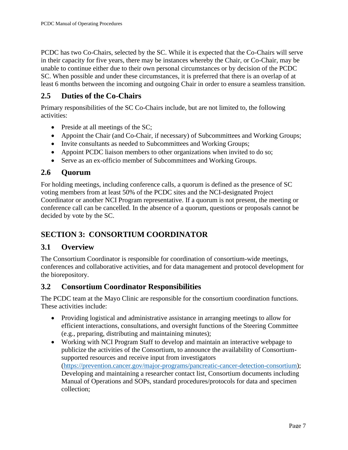PCDC has two Co-Chairs, selected by the SC. While it is expected that the Co-Chairs will serve in their capacity for five years, there may be instances whereby the Chair, or Co-Chair, may be unable to continue either due to their own personal circumstances or by decision of the PCDC SC. When possible and under these circumstances, it is preferred that there is an overlap of at least 6 months between the incoming and outgoing Chair in order to ensure a seamless transition.

### <span id="page-5-0"></span>**2.5 Duties of the Co-Chairs**

Primary responsibilities of the SC Co-Chairs include, but are not limited to, the following activities:

- Preside at all meetings of the SC;
- Appoint the Chair (and Co-Chair, if necessary) of Subcommittees and Working Groups;
- Invite consultants as needed to Subcommittees and Working Groups;
- Appoint PCDC liaison members to other organizations when invited to do so;
- Serve as an ex-officio member of Subcommittees and Working Groups.

#### <span id="page-5-1"></span>**2.6 Quorum**

For holding meetings, including conference calls, a quorum is defined as the presence of SC voting members from at least 50% of the PCDC sites and the NCI-designated Project Coordinator or another NCI Program representative. If a quorum is not present, the meeting or conference call can be cancelled. In the absence of a quorum, questions or proposals cannot be decided by vote by the SC.

# <span id="page-5-2"></span>**SECTION 3: CONSORTIUM COORDINATOR**

#### <span id="page-5-3"></span>**3.1 Overview**

The Consortium Coordinator is responsible for coordination of consortium-wide meetings, conferences and collaborative activities, and for data management and protocol development for the biorepository.

#### <span id="page-5-4"></span>**3.2 Consortium Coordinator Responsibilities**

The PCDC team at the Mayo Clinic are responsible for the consortium coordination functions. These activities include:

- Providing logistical and administrative assistance in arranging meetings to allow for efficient interactions, consultations, and oversight functions of the Steering Committee (e.g., preparing, distributing and maintaining minutes);
- Working with NCI Program Staff to develop and maintain an interactive webpage to publicize the activities of the Consortium, to announce the availability of Consortiumsupported resources and receive input from investigators [\(https://prevention.cancer.gov/major-programs/pancreatic-cancer-detection-consortium\)](https://prevention.cancer.gov/major-programs/pancreatic-cancer-detection-consortium); Developing and maintaining a researcher contact list, Consortium documents including Manual of Operations and SOPs, standard procedures/protocols for data and specimen collection;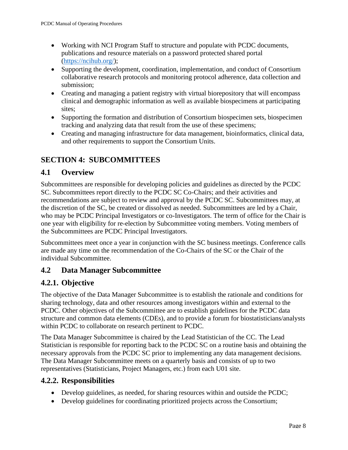- Working with NCI Program Staff to structure and populate with PCDC documents, publications and resource materials on a password protected shared portal [\(https://ncihub.org/\)](https://ncihub.org/);
- Supporting the development, coordination, implementation, and conduct of Consortium collaborative research protocols and monitoring protocol adherence, data collection and submission;
- Creating and managing a patient registry with virtual biorepository that will encompass clinical and demographic information as well as available biospecimens at participating sites;
- Supporting the formation and distribution of Consortium biospecimen sets, biospecimen tracking and analyzing data that result from the use of these specimens;
- Creating and managing infrastructure for data management, bioinformatics, clinical data, and other requirements to support the Consortium Units.

# <span id="page-6-0"></span>**SECTION 4: SUBCOMMITTEES**

## <span id="page-6-1"></span>**4.1 Overview**

Subcommittees are responsible for developing policies and guidelines as directed by the PCDC SC. Subcommittees report directly to the PCDC SC Co-Chairs; and their activities and recommendations are subject to review and approval by the PCDC SC. Subcommittees may, at the discretion of the SC, be created or dissolved as needed. Subcommittees are led by a Chair, who may be PCDC Principal Investigators or co-Investigators. The term of office for the Chair is one year with eligibility for re-election by Subcommittee voting members. Voting members of the Subcommittees are PCDC Principal Investigators.

Subcommittees meet once a year in conjunction with the SC business meetings. Conference calls are made any time on the recommendation of the Co-Chairs of the SC or the Chair of the individual Subcommittee.

## <span id="page-6-2"></span>**4.2 Data Manager Subcommittee**

## <span id="page-6-3"></span>**4.2.1. Objective**

The objective of the Data Manager Subcommittee is to establish the rationale and conditions for sharing technology, data and other resources among investigators within and external to the PCDC. Other objectives of the Subcommittee are to establish guidelines for the PCDC data structure and common data elements (CDEs), and to provide a forum for biostatisticians/analysts within PCDC to collaborate on research pertinent to PCDC.

The Data Manager Subcommittee is chaired by the Lead Statistician of the CC. The Lead Statistician is responsible for reporting back to the PCDC SC on a routine basis and obtaining the necessary approvals from the PCDC SC prior to implementing any data management decisions. The Data Manager Subcommittee meets on a quarterly basis and consists of up to two representatives (Statisticians, Project Managers, etc.) from each U01 site.

#### <span id="page-6-4"></span>**4.2.2. Responsibilities**

- Develop guidelines, as needed, for sharing resources within and outside the PCDC;
- Develop guidelines for coordinating prioritized projects across the Consortium;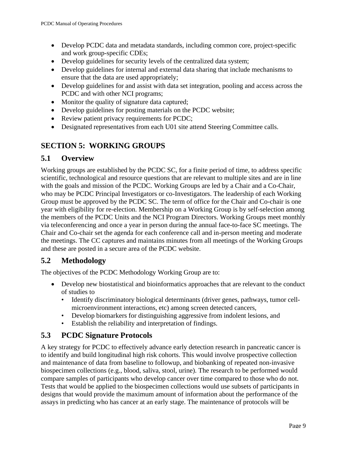- Develop PCDC data and metadata standards, including common core, project-specific and work group-specific CDEs;
- Develop guidelines for security levels of the centralized data system;
- Develop guidelines for internal and external data sharing that include mechanisms to ensure that the data are used appropriately;
- Develop guidelines for and assist with data set integration, pooling and access across the PCDC and with other NCI programs;
- Monitor the quality of signature data captured;
- Develop guidelines for posting materials on the PCDC website;
- Review patient privacy requirements for PCDC;
- Designated representatives from each U01 site attend Steering Committee calls.

#### <span id="page-7-0"></span>**SECTION 5: WORKING GROUPS**

#### <span id="page-7-1"></span>**5.1 Overview**

Working groups are established by the PCDC SC, for a finite period of time, to address specific scientific, technological and resource questions that are relevant to multiple sites and are in line with the goals and mission of the PCDC. Working Groups are led by a Chair and a Co-Chair, who may be PCDC Principal Investigators or co-Investigators. The leadership of each Working Group must be approved by the PCDC SC. The term of office for the Chair and Co-chair is one year with eligibility for re-election. Membership on a Working Group is by self-selection among the members of the PCDC Units and the NCI Program Directors. Working Groups meet monthly via teleconferencing and once a year in person during the annual face-to-face SC meetings. The Chair and Co-chair set the agenda for each conference call and in-person meeting and moderate the meetings. The CC captures and maintains minutes from all meetings of the Working Groups and these are posted in a secure area of the PCDC website.

#### <span id="page-7-2"></span>**5.2 Methodology**

The objectives of the PCDC Methodology Working Group are to:

- Develop new biostatistical and bioinformatics approaches that are relevant to the conduct of studies to
	- Identify discriminatory biological determinants (driver genes, pathways, tumor cellmicroenvironment interactions, etc) among screen detected cancers,
	- Develop biomarkers for distinguishing aggressive from indolent lesions, and
	- Establish the reliability and interpretation of findings.

#### <span id="page-7-3"></span>**5.3 PCDC Signature Protocols**

A key strategy for PCDC to effectively advance early detection research in pancreatic cancer is to identify and build longitudinal high risk cohorts. This would involve prospective collection and maintenance of data from baseline to followup, and biobanking of repeated non-invasive biospecimen collections (e.g., blood, saliva, stool, urine). The research to be performed would compare samples of participants who develop cancer over time compared to those who do not. Tests that would be applied to the biospecimen collections would use subsets of participants in designs that would provide the maximum amount of information about the performance of the assays in predicting who has cancer at an early stage. The maintenance of protocols will be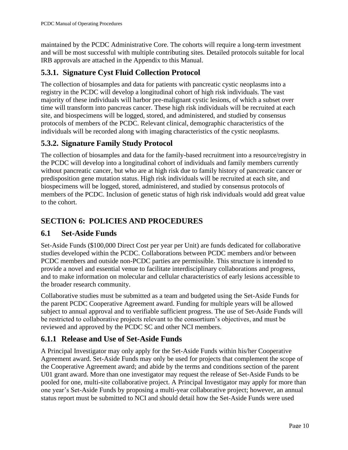maintained by the PCDC Administrative Core. The cohorts will require a long-term investment and will be most successful with multiple contributing sites. Detailed protocols suitable for local IRB approvals are attached in the Appendix to this Manual.

## <span id="page-8-0"></span>**5.3.1. Signature Cyst Fluid Collection Protocol**

The collection of biosamples and data for patients with pancreatic cystic neoplasms into a registry in the PCDC will develop a longitudinal cohort of high risk individuals. The vast majority of these individuals will harbor pre-malignant cystic lesions, of which a subset over time will transform into pancreas cancer. These high risk individuals will be recruited at each site, and biospecimens will be logged, stored, and administered, and studied by consensus protocols of members of the PCDC. Relevant clinical, demographic characteristics of the individuals will be recorded along with imaging characteristics of the cystic neoplasms.

# <span id="page-8-1"></span>**5.3.2. Signature Family Study Protocol**

The collection of biosamples and data for the family-based recruitment into a resource/registry in the PCDC will develop into a longitudinal cohort of individuals and family members currently without pancreatic cancer, but who are at high risk due to family history of pancreatic cancer or predisposition gene mutation status. High risk individuals will be recruited at each site, and biospecimens will be logged, stored, administered, and studied by consensus protocols of members of the PCDC. Inclusion of genetic status of high risk individuals would add great value to the cohort.

## <span id="page-8-2"></span>**SECTION 6: POLICIES AND PROCEDURES**

#### <span id="page-8-3"></span>**6.1 Set-Aside Funds**

Set-Aside Funds (\$100,000 Direct Cost per year per Unit) are funds dedicated for collaborative studies developed within the PCDC. Collaborations between PCDC members and/or between PCDC members and outside non-PCDC parties are permissible. This structure is intended to provide a novel and essential venue to facilitate interdisciplinary collaborations and progress, and to make information on molecular and cellular characteristics of early lesions accessible to the broader research community.

Collaborative studies must be submitted as a team and budgeted using the Set-Aside Funds for the parent PCDC Cooperative Agreement award. Funding for multiple years will be allowed subject to annual approval and to verifiable sufficient progress. The use of Set-Aside Funds will be restricted to collaborative projects relevant to the consortium's objectives, and must be reviewed and approved by the PCDC SC and other NCI members.

## <span id="page-8-4"></span>**6.1.1 Release and Use of Set-Aside Funds**

A Principal Investigator may only apply for the Set-Aside Funds within his/her Cooperative Agreement award. Set-Aside Funds may only be used for projects that complement the scope of the Cooperative Agreement award; and abide by the terms and conditions section of the parent U01 grant award. More than one investigator may request the release of Set-Aside Funds to be pooled for one, multi-site collaborative project. A Principal Investigator may apply for more than one year's Set-Aside Funds by proposing a multi-year collaborative project; however, an annual status report must be submitted to NCI and should detail how the Set-Aside Funds were used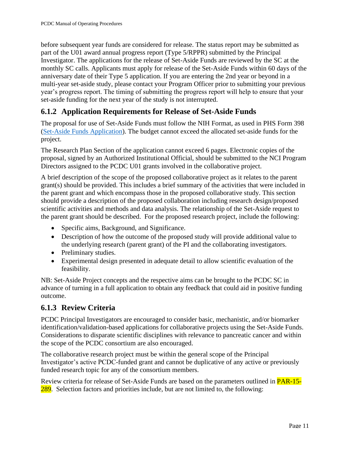before subsequent year funds are considered for release. The status report may be submitted as part of the U01 award annual progress report (Type 5/RPPR) submitted by the Principal Investigator. The applications for the release of Set-Aside Funds are reviewed by the SC at the monthly SC calls. Applicants must apply for release of the Set-Aside Funds within 60 days of the anniversary date of their Type 5 application. If you are entering the 2nd year or beyond in a multi-year set-aside study, please contact your Program Officer prior to submitting your previous year's progress report. The timing of submitting the progress report will help to ensure that your set-aside funding for the next year of the study is not interrupted.

## <span id="page-9-0"></span>**6.1.2 Application Requirements for Release of Set-Aside Funds**

The proposal for use of Set-Aside Funds must follow the NIH Format, as used in PHS Form 398 [\(Set-Aside Funds Application\)](https://grants.nih.gov/grants/funding/phs398/398_forms.pdf). The budget cannot exceed the allocated set-aside funds for the project.

The Research Plan Section of the application cannot exceed 6 pages. Electronic copies of the proposal, signed by an Authorized Institutional Official, should be submitted to the NCI Program Directors assigned to the PCDC U01 grants involved in the collaborative project.

A brief description of the scope of the proposed collaborative project as it relates to the parent grant(s) should be provided. This includes a brief summary of the activities that were included in the parent grant and which encompass those in the proposed collaborative study. This section should provide a description of the proposed collaboration including research design/proposed scientific activities and methods and data analysis. The relationship of the Set-Aside request to the parent grant should be described. For the proposed research project, include the following:

- Specific aims, Background, and Significance.
- Description of how the outcome of the proposed study will provide additional value to the underlying research (parent grant) of the PI and the collaborating investigators.
- Preliminary studies.
- Experimental design presented in adequate detail to allow scientific evaluation of the feasibility.

NB: Set-Aside Project concepts and the respective aims can be brought to the PCDC SC in advance of turning in a full application to obtain any feedback that could aid in positive funding outcome.

## <span id="page-9-1"></span>**6.1.3 Review Criteria**

PCDC Principal Investigators are encouraged to consider basic, mechanistic, and/or biomarker identification/validation-based applications for collaborative projects using the Set-Aside Funds. Considerations to disparate scientific disciplines with relevance to pancreatic cancer and within the scope of the PCDC consortium are also encouraged.

The collaborative research project must be within the general scope of the Principal Investigator's active PCDC-funded grant and cannot be duplicative of any active or previously funded research topic for any of the consortium members.

Review criteria for release of Set-Aside Funds are based on the parameters outlined in PAR-15- 289. Selection factors and priorities include, but are not limited to, the following: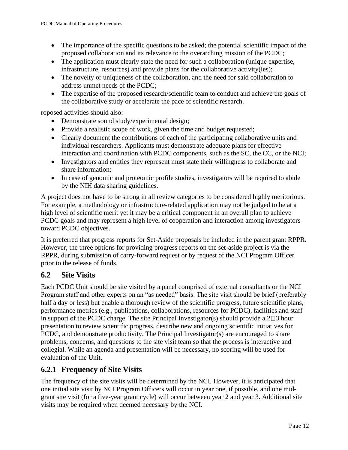- The importance of the specific questions to be asked; the potential scientific impact of the proposed collaboration and its relevance to the overarching mission of the PCDC;
- The application must clearly state the need for such a collaboration (unique expertise, infrastructure, resources) and provide plans for the collaborative activity(ies);
- The novelty or uniqueness of the collaboration, and the need for said collaboration to address unmet needs of the PCDC;
- The expertise of the proposed research/scientific team to conduct and achieve the goals of the collaborative study or accelerate the pace of scientific research.

roposed activities should also:

- Demonstrate sound study/experimental design;
- Provide a realistic scope of work, given the time and budget requested;
- Clearly document the contributions of each of the participating collaborative units and individual researchers. Applicants must demonstrate adequate plans for effective interaction and coordination with PCDC components, such as the SC, the CC, or the NCI;
- Investigators and entities they represent must state their willingness to collaborate and share information;
- In case of genomic and proteomic profile studies, investigators will be required to abide by the NIH data sharing guidelines.

A project does not have to be strong in all review categories to be considered highly meritorious. For example, a methodology or infrastructure-related application may not be judged to be at a high level of scientific merit yet it may be a critical component in an overall plan to achieve PCDC goals and may represent a high level of cooperation and interaction among investigators toward PCDC objectives.

It is preferred that progress reports for Set-Aside proposals be included in the parent grant RPPR. However, the three options for providing progress reports on the set-aside project is via the RPPR, during submission of carry-forward request or by request of the NCI Program Officer prior to the release of funds.

## <span id="page-10-0"></span>**6.2 Site Visits**

Each PCDC Unit should be site visited by a panel comprised of external consultants or the NCI Program staff and other experts on an "as needed" basis. The site visit should be brief (preferably half a day or less) but enable a thorough review of the scientific progress, future scientific plans, performance metrics (e.g., publications, collaborations, resources for PCDC), facilities and staff in support of the PCDC charge. The site Principal Investigator(s) should provide a  $2\square 3$  hour presentation to review scientific progress, describe new and ongoing scientific initiatives for PCDC, and demonstrate productivity. The Principal Investigator(s) are encouraged to share problems, concerns, and questions to the site visit team so that the process is interactive and collegial. While an agenda and presentation will be necessary, no scoring will be used for evaluation of the Unit.

## <span id="page-10-1"></span>**6.2.1 Frequency of Site Visits**

The frequency of the site visits will be determined by the NCI. However, it is anticipated that one initial site visit by NCI Program Officers will occur in year one, if possible, and one midgrant site visit (for a five-year grant cycle) will occur between year 2 and year 3. Additional site visits may be required when deemed necessary by the NCI.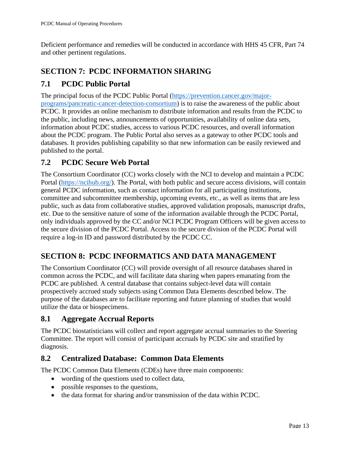Deficient performance and remedies will be conducted in accordance with HHS 45 CFR, Part 74 and other pertinent regulations.

# <span id="page-11-0"></span>**SECTION 7: PCDC INFORMATION SHARING**

# <span id="page-11-1"></span>**7.1 PCDC Public Portal**

The principal focus of the PCDC Public Portal [\(https://prevention.cancer.gov/major](https://prevention.cancer.gov/major-programs/pancreatic-cancer-detection-consortium)[programs/pancreatic-cancer-detection-consortium\)](https://prevention.cancer.gov/major-programs/pancreatic-cancer-detection-consortium) is to raise the awareness of the public about PCDC. It provides an online mechanism to distribute information and results from the PCDC to the public, including news, announcements of opportunities, availability of online data sets, information about PCDC studies, access to various PCDC resources, and overall information about the PCDC program. The Public Portal also serves as a gateway to other PCDC tools and databases. It provides publishing capability so that new information can be easily reviewed and published to the portal.

## <span id="page-11-2"></span>**7.2 PCDC Secure Web Portal**

The Consortium Coordinator (CC) works closely with the NCI to develop and maintain a PCDC Portal [\(https://ncihub.org/\)](https://ncihub.org/). The Portal, with both public and secure access divisions, will contain general PCDC information, such as contact information for all participating institutions, committee and subcommittee membership, upcoming events, etc., as well as items that are less public, such as data from collaborative studies, approved validation proposals, manuscript drafts, etc. Due to the sensitive nature of some of the information available through the PCDC Portal, only individuals approved by the CC and/or NCI PCDC Program Officers will be given access to the secure division of the PCDC Portal. Access to the secure division of the PCDC Portal will require a log-in ID and password distributed by the PCDC CC.

# <span id="page-11-3"></span>**SECTION 8: PCDC INFORMATICS AND DATA MANAGEMENT**

The Consortium Coordinator (CC) will provide oversight of all resource databases shared in common across the PCDC, and will facilitate data sharing when papers emanating from the PCDC are published. A central database that contains subject-level data will contain prospectively accrued study subjects using Common Data Elements described below. The purpose of the databases are to facilitate reporting and future planning of studies that would utilize the data or biospecimens.

#### <span id="page-11-4"></span>**8.1 Aggregate Accrual Reports**

The PCDC biostatisticians will collect and report aggregate accrual summaries to the Steering Committee. The report will consist of participant accruals by PCDC site and stratified by diagnosis.

#### <span id="page-11-5"></span>**8.2 Centralized Database: Common Data Elements**

The PCDC Common Data Elements (CDEs) have three main components:

- wording of the questions used to collect data,
- possible responses to the questions,
- the data format for sharing and/or transmission of the data within PCDC.